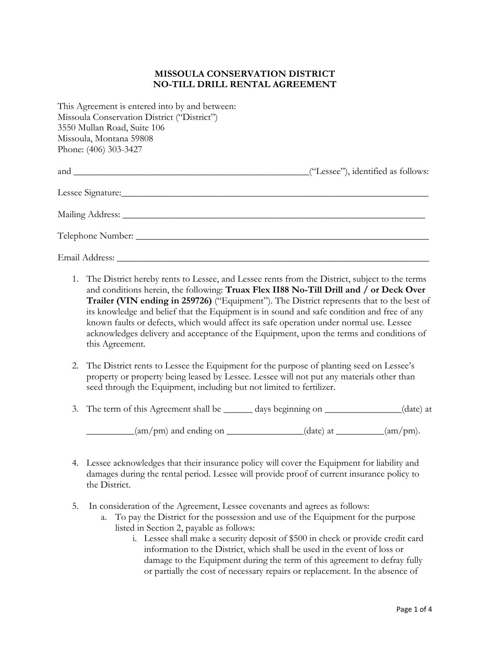## **MISSOULA CONSERVATION DISTRICT NO-TILL DRILL RENTAL AGREEMENT**

| This Agreement is entered into by and between:<br>Missoula Conservation District ("District")<br>3550 Mullan Road, Suite 106<br>Missoula, Montana 59808<br>Phone: (406) 303-3427 |                                    |
|----------------------------------------------------------------------------------------------------------------------------------------------------------------------------------|------------------------------------|
|                                                                                                                                                                                  | ("Lessee"), identified as follows: |
|                                                                                                                                                                                  |                                    |
|                                                                                                                                                                                  |                                    |
|                                                                                                                                                                                  |                                    |
|                                                                                                                                                                                  |                                    |

- 1. The District hereby rents to Lessee, and Lessee rents from the District, subject to the terms and conditions herein, the following: **Truax Flex II88 No-Till Drill and / or Deck Over Trailer (VIN ending in 259726)** ("Equipment"). The District represents that to the best of its knowledge and belief that the Equipment is in sound and safe condition and free of any known faults or defects, which would affect its safe operation under normal use. Lessee acknowledges delivery and acceptance of the Equipment, upon the terms and conditions of this Agreement.
- 2. The District rents to Lessee the Equipment for the purpose of planting seed on Lessee's property or property being leased by Lessee. Lessee will not put any materials other than seed through the Equipment, including but not limited to fertilizer.
- 3. The term of this Agreement shall be \_\_\_\_\_\_ days beginning on \_\_\_\_\_\_\_\_\_\_\_\_\_(date) at

 $_{\text{(am/pm)}}$  and ending on \_\_\_\_\_\_\_\_\_\_\_\_\_(date) at \_\_\_\_\_\_\_(am/pm).

- 4. Lessee acknowledges that their insurance policy will cover the Equipment for liability and damages during the rental period. Lessee will provide proof of current insurance policy to the District.
- 5. In consideration of the Agreement, Lessee covenants and agrees as follows:
	- a. To pay the District for the possession and use of the Equipment for the purpose listed in Section 2, payable as follows:
		- i. Lessee shall make a security deposit of \$500 in check or provide credit card information to the District, which shall be used in the event of loss or damage to the Equipment during the term of this agreement to defray fully or partially the cost of necessary repairs or replacement. In the absence of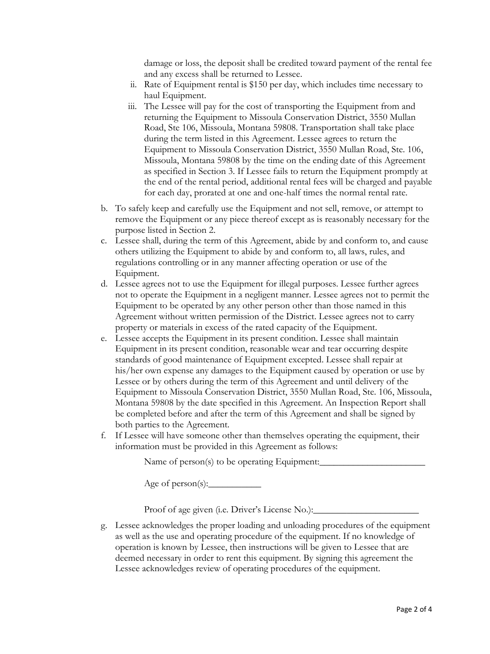damage or loss, the deposit shall be credited toward payment of the rental fee and any excess shall be returned to Lessee.

- ii. Rate of Equipment rental is \$150 per day, which includes time necessary to haul Equipment.
- iii. The Lessee will pay for the cost of transporting the Equipment from and returning the Equipment to Missoula Conservation District, 3550 Mullan Road, Ste 106, Missoula, Montana 59808. Transportation shall take place during the term listed in this Agreement. Lessee agrees to return the Equipment to Missoula Conservation District, 3550 Mullan Road, Ste. 106, Missoula, Montana 59808 by the time on the ending date of this Agreement as specified in Section 3. If Lessee fails to return the Equipment promptly at the end of the rental period, additional rental fees will be charged and payable for each day, prorated at one and one-half times the normal rental rate.
- b. To safely keep and carefully use the Equipment and not sell, remove, or attempt to remove the Equipment or any piece thereof except as is reasonably necessary for the purpose listed in Section 2.
- c. Lessee shall, during the term of this Agreement, abide by and conform to, and cause others utilizing the Equipment to abide by and conform to, all laws, rules, and regulations controlling or in any manner affecting operation or use of the Equipment.
- d. Lessee agrees not to use the Equipment for illegal purposes. Lessee further agrees not to operate the Equipment in a negligent manner. Lessee agrees not to permit the Equipment to be operated by any other person other than those named in this Agreement without written permission of the District. Lessee agrees not to carry property or materials in excess of the rated capacity of the Equipment.
- e. Lessee accepts the Equipment in its present condition. Lessee shall maintain Equipment in its present condition, reasonable wear and tear occurring despite standards of good maintenance of Equipment excepted. Lessee shall repair at his/her own expense any damages to the Equipment caused by operation or use by Lessee or by others during the term of this Agreement and until delivery of the Equipment to Missoula Conservation District, 3550 Mullan Road, Ste. 106, Missoula, Montana 59808 by the date specified in this Agreement. An Inspection Report shall be completed before and after the term of this Agreement and shall be signed by both parties to the Agreement.
- f. If Lessee will have someone other than themselves operating the equipment, their information must be provided in this Agreement as follows:

Name of person $(s)$  to be operating Equipment:

Age of person $(s)$ :

Proof of age given (i.e. Driver's License No.):

g. Lessee acknowledges the proper loading and unloading procedures of the equipment as well as the use and operating procedure of the equipment. If no knowledge of operation is known by Lessee, then instructions will be given to Lessee that are deemed necessary in order to rent this equipment. By signing this agreement the Lessee acknowledges review of operating procedures of the equipment.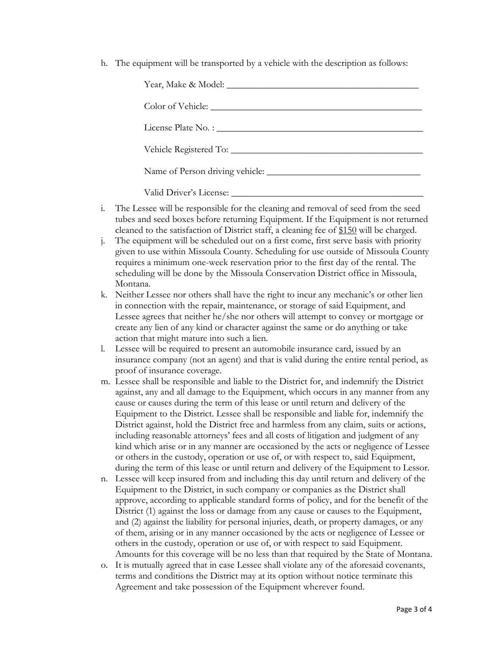h. The equipment will be transported by a vehicle with the description as follows:

| Vehicle Registered To: |  |
|------------------------|--|
|                        |  |
|                        |  |

- i. The Lessee will be responsible for the cleaning and removal of seed from the seed tubes and seed boxes before returning Equipment. If the Equipment is not returned cleaned to the satisfaction of District staff, a cleaning fee of \$150 will be charged.
- j. The equipment will be scheduled out on a first come, first serve basis with priority given to use within Missoula County. Scheduling for use outside of Missoula County requires a minimum one-week reservation prior to the first day of the rental. The scheduling will be done by the Missoula Conservation District office in Missoula, Montana.
- k. Neither Lessee nor others shall have the right to incur any mechanic's or other lien in connection with the repair, maintenance, or storage of said Equipment, and Lessee agrees that neither he/she nor others will attempt to convey or mortgage or create any lien of any kind or character against the same or do anything or take action that might mature into such a lien.
- l. Lessee will be required to present an automobile insurance card, issued by an insurance company (not an agent) and that is valid during the entire rental period, as proof of insurance coverage.
- m. Lessee shall be responsible and liable to the District for, and indemnify the District against, any and all damage to the Equipment, which occurs in any manner from any cause or causes during the term of this lease or until return and delivery of the Equipment to the District. Lessee shall be responsible and liable for, indemnify the District against, hold the District free and harmless from any claim, suits or actions, including reasonable attorneys' fees and all costs of litigation and judgment of any kind which arise or in any manner are occasioned by the acts or negligence of Lessee or others in the custody, operation or use of, or with respect to, said Equipment, during the term of this lease or until return and delivery of the Equipment to Lessor.
- n. Lessee will keep insured from and including this day until return and delivery of the Equipment to the District, in such company or companies as the District shall approve, according to applicable standard forms of policy, and for the benefit of the District (1) against the loss or damage from any cause or causes to the Equipment, and (2) against the liability for personal injuries, death, or property damages, or any of them, arising or in any manner occasioned by the acts or negligence of Lessee or others in the custody, operation or use of, or with respect to said Equipment. Amounts for this coverage will be no less than that required by the State of Montana.
- o. It is mutually agreed that in case Lessee shall violate any of the aforesaid covenants, terms and conditions the District may at its option without notice terminate this Agreement and take possession of the Equipment wherever found.